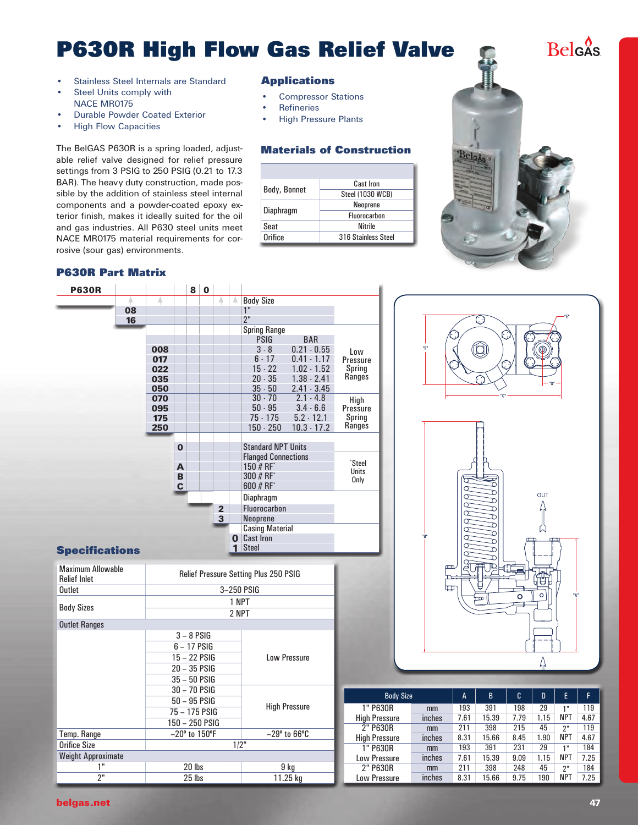# **P630R High Flow Gas Relief Valve**

- Stainless Steel Internals are Standard
- Steel Units comply with NACE MR0175
- **Durable Powder Coated Exterior**
- • High Flow Capacities

The BelGAS P630R is a spring loaded, adjustable relief valve designed for relief pressure settings from 3 PSIG to 250 PSIG (0.21 to 17.3 BAR). The heavy duty construction, made possible by the addition of stainless steel internal components and a powder-coated epoxy exterior finish, makes it ideally suited for the oil and gas industries. All P630 steel units meet NACE MR0175 material requirements for corrosive (sour gas) environments.

#### **P630R Part Matrix**

#### **Applications**

- **Compressor Stations**
- **Refineries**
- **High Pressure Plants**

### **Materials of Construction**

|                  | Cast Iron               |  |
|------------------|-------------------------|--|
| Body, Bonnet     | <b>Steel (1030 WCB)</b> |  |
|                  | Neoprene                |  |
| <b>Diaphragm</b> | <b>Fluorocarbon</b>     |  |
| Seat             | <b>Nitrile</b>          |  |
| Orifice          | 316 Stainless Steel     |  |

| <b>P630R</b> |    |     |              | 8               | $\bf{0}$               |                |          |                            |               |              |
|--------------|----|-----|--------------|-----------------|------------------------|----------------|----------|----------------------------|---------------|--------------|
|              | А  | A   |              |                 |                        | A              | A        | <b>Body Size</b>           |               |              |
|              | 08 |     |              |                 |                        |                |          | 1"                         |               |              |
|              | 16 |     |              |                 |                        |                |          | 2"                         |               |              |
|              |    |     |              |                 |                        |                |          | <b>Spring Range</b>        |               |              |
|              |    |     |              |                 |                        |                |          | <b>PSIG</b>                | <b>BAR</b>    |              |
|              |    | 008 |              |                 |                        |                |          | $3 - 8$                    | $0.21 - 0.55$ | Low          |
|              |    | 017 |              |                 |                        |                |          | $6 - 17$                   | $0.41 - 1.17$ | Pressure     |
|              |    | 022 |              |                 |                        |                |          | $15 - 22$                  | $1.02 - 1.52$ | Spring       |
|              |    | 035 |              |                 |                        |                |          | $20 - 35$                  | $1.38 - 2.41$ | Ranges       |
|              |    | 050 |              |                 |                        |                |          | $35 - 50$                  | $2.41 - 3.45$ |              |
|              |    | 070 |              |                 |                        |                |          | $30 - 70$                  | $2.1 - 4.8$   | High         |
|              |    | 095 |              |                 |                        |                |          | $50 - 95$                  | $3.4 - 6.6$   | Pressure     |
|              |    | 175 |              |                 |                        |                |          | $75 - 175$                 | $5.2 - 12.1$  | Spring       |
|              |    | 250 |              |                 |                        |                |          | $150 - 250$                | $10.3 - 17.2$ | Ranges       |
|              |    |     |              |                 |                        |                |          |                            |               |              |
|              |    |     | $\mathbf{0}$ |                 |                        |                |          | <b>Standard NPT Units</b>  |               |              |
|              |    |     |              |                 |                        |                |          | <b>Flanged Connections</b> |               | 'Steel       |
|              |    |     | A            |                 |                        |                |          | 150 # RF*                  |               | <b>Units</b> |
|              |    |     | B            |                 |                        |                |          | 300 # RF*                  |               | Only         |
|              |    |     | C            |                 |                        |                |          | 600 $# RF^*$               |               |              |
|              |    |     |              |                 |                        |                |          | <b>Diaphragm</b>           |               |              |
|              |    |     |              |                 |                        | $\overline{2}$ |          | Fluorocarbon               |               |              |
| 3            |    |     |              | <b>Neoprene</b> |                        |                |          |                            |               |              |
|              |    |     |              |                 | <b>Casing Material</b> |                |          |                            |               |              |
|              |    |     |              |                 |                        |                | $\bf{0}$ | <b>Cast Iron</b>           |               |              |
| ecifications |    |     |              |                 |                        |                | 1        | <b>Steel</b>               |               |              |

#### **Spe**

| <b>Maximum Allowable</b><br><b>Relief Inlet</b> | <b>Relief Pressure Setting Plus 250 PSIG</b> |                      |  |  |  |
|-------------------------------------------------|----------------------------------------------|----------------------|--|--|--|
| <b>Outlet</b>                                   | 3-250 PSIG                                   |                      |  |  |  |
|                                                 | 1 NPT                                        |                      |  |  |  |
| <b>Body Sizes</b>                               | 2 NPT                                        |                      |  |  |  |
| <b>Outlet Ranges</b>                            |                                              |                      |  |  |  |
|                                                 | $3 - 8$ PSIG                                 |                      |  |  |  |
|                                                 | 6 – 17 PSIG                                  |                      |  |  |  |
|                                                 | 15 - 22 PSIG                                 | <b>Low Pressure</b>  |  |  |  |
|                                                 | 20 - 35 PSIG                                 |                      |  |  |  |
|                                                 | $35 - 50$ PSIG                               |                      |  |  |  |
|                                                 | 30 - 70 PSIG                                 |                      |  |  |  |
|                                                 | 50 - 95 PSIG                                 |                      |  |  |  |
|                                                 | 75 - 175 PSIG                                | <b>High Pressure</b> |  |  |  |
|                                                 | 150 – 250 PSIG                               |                      |  |  |  |
| Temp. Range                                     | $-20^\circ$ to 150°F                         | $-29^\circ$ to 66°C  |  |  |  |
| Orifice Size                                    | 1/2"                                         |                      |  |  |  |
| <b>Weight Approximate</b>                       |                                              |                      |  |  |  |
| 1"                                              | 20 lbs                                       | 9 kg                 |  |  |  |
| 2"                                              | 25 lbs                                       | 11.25 kg             |  |  |  |



| <b>Body Size</b>     |        | A    | B     | c    | D    | E          | F    |
|----------------------|--------|------|-------|------|------|------------|------|
| 1" P630R             | mm     | 193  | 391   | 198  | 29   | 1 "        | 119  |
| <b>High Pressure</b> | inches | 7.61 | 15.39 | 7.79 | 1.15 | <b>NPT</b> | 4.67 |
| 2" P630R             | mm     | 211  | 398   | 215  | 45   | ን"         | 119  |
| <b>High Pressure</b> | inches | 8.31 | 15.66 | 8.45 | 1.90 | <b>NPT</b> | 4.67 |
| 1" P630R             | mm     | 193  | 391   | 231  | 29   | 1"         | 184  |
| <b>Low Pressure</b>  | inches | 7.61 | 15.39 | 9.09 | 1.15 | <b>NPT</b> | 7.25 |
| 2" P630R             | mm     | 211  | 398   | 248  | 45   | ን"         | 184  |
| <b>Low Pressure</b>  | inches | 8.31 | 15.66 | 9.75 | 190  | <b>NPT</b> | 7.25 |



**Belgas**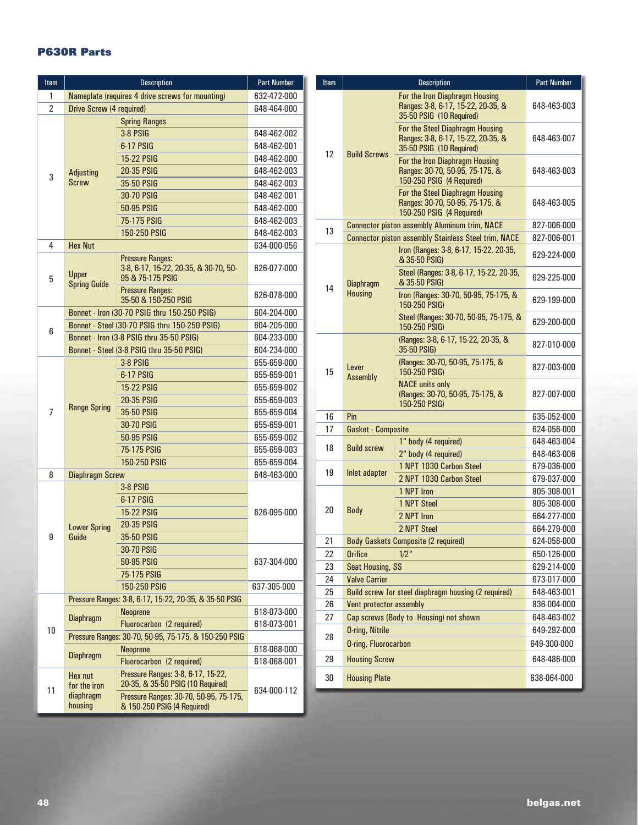## **P630R Parts**

| Item           |                                                  | <b>Part Number</b>                                                                   |             |  |
|----------------|--------------------------------------------------|--------------------------------------------------------------------------------------|-------------|--|
| 1              | Nameplate (requires 4 drive screws for mounting) | 632-472-000                                                                          |             |  |
| $\overline{2}$ | Drive Screw (4 required)                         |                                                                                      | 648-464-000 |  |
|                |                                                  | <b>Spring Ranges</b>                                                                 |             |  |
|                |                                                  | 3-8 PSIG                                                                             | 648-462-002 |  |
|                |                                                  | 6-17 PSIG                                                                            | 648-462-001 |  |
|                |                                                  | <b>15-22 PSIG</b>                                                                    | 648-462-000 |  |
| 3              | <b>Adjusting</b>                                 | 20-35 PSIG                                                                           | 648-462-003 |  |
|                | <b>Screw</b>                                     | 35-50 PSIG                                                                           | 648-462-003 |  |
|                |                                                  | 30-70 PSIG                                                                           | 648-462-001 |  |
|                |                                                  | 50-95 PSIG                                                                           | 648-462-000 |  |
|                |                                                  | 75-175 PSIG                                                                          | 648-462-003 |  |
|                |                                                  | 150-250 PSIG                                                                         | 648-462-003 |  |
| 4              | <b>Hex Nut</b>                                   |                                                                                      | 634-000-056 |  |
| 5              | Upper<br><b>Spring Guide</b>                     | <b>Pressure Ranges:</b><br>3-8, 6-17, 15-22, 20-35, & 30-70, 50-<br>95 & 75 175 PSIG | 626-077-000 |  |
|                |                                                  | <b>Pressure Ranges:</b><br>35-50 & 150-250 PSIG                                      | 626-078-000 |  |
|                |                                                  | Bonnet - Iron (30-70 PSIG thru 150-250 PSIG)                                         | 604-204-000 |  |
| 6              |                                                  | Bonnet - Steel (30-70 PSIG thru 150-250 PSIG)                                        | 604-205-000 |  |
|                |                                                  | Bonnet - Iron (3-8 PSIG thru 35-50 PSIG)                                             | 604-233-000 |  |
|                |                                                  | Bonnet - Steel (3-8 PSIG thru 35-50 PSIG)                                            | 604-234-000 |  |
|                |                                                  | <b>3-8 PSIG</b>                                                                      | 655-659-000 |  |
|                |                                                  | 6-17 PSIG                                                                            | 655-659-001 |  |
|                |                                                  | <b>15-22 PSIG</b>                                                                    | 655-659-002 |  |
|                |                                                  | <b>20-35 PSIG</b>                                                                    | 655-659-003 |  |
| 7              | <b>Range Spring</b>                              | <b>35-50 PSIG</b>                                                                    | 655-659-004 |  |
|                |                                                  | <b>30-70 PSIG</b>                                                                    | 655-659-001 |  |
|                |                                                  | 50-95 PSIG                                                                           | 655-659-002 |  |
|                |                                                  | <b>75-175 PSIG</b>                                                                   | 655-659-003 |  |
|                |                                                  | <b>150-250 PSIG</b>                                                                  | 655-659-004 |  |
| 8              | <b>Diaphragm Screw</b>                           | 648-463-000                                                                          |             |  |
|                |                                                  | 3-8 PSIG                                                                             |             |  |
|                |                                                  | 6-17 PSIG                                                                            |             |  |
|                |                                                  | <b>15-22 PSIG</b>                                                                    | 626-095-000 |  |
|                | <b>Lower Spring</b>                              | <b>20-35 PSIG</b>                                                                    |             |  |
| 9              | Guide                                            | 35-50 PSIG                                                                           |             |  |
|                |                                                  | 30-70 PSIG                                                                           |             |  |
|                |                                                  | 50-95 PSIG                                                                           | 637-304-000 |  |
|                |                                                  | 75-175 PSIG                                                                          |             |  |
|                |                                                  | 150-250 PSIG                                                                         | 637-305-000 |  |
|                |                                                  | Pressure Ranges: 3-8, 6-17, 15-22, 20-35, & 35-50 PSIG                               |             |  |
|                | <b>Diaphragm</b>                                 | <b>Neoprene</b>                                                                      | 618-073-000 |  |
| 10             |                                                  | Fluorocarbon (2 required)                                                            | 618-073-001 |  |
|                |                                                  | Pressure Ranges: 30-70, 50-95, 75-175, & 150-250 PSIG                                |             |  |
|                | <b>Diaphragm</b>                                 | <b>Neoprene</b>                                                                      | 618-068-000 |  |
|                |                                                  | Fluorocarbon (2 required)                                                            | 618-068-001 |  |
| 11             | Hex nut<br>for the iron                          | Pressure Ranges: 3-8, 6-17, 15-22,<br>20-35, & 35-50 PSIG (10 Required)              | 634-000-112 |  |
|                | diaphragm<br>housing                             | Pressure Ranges: 30-70, 50-95, 75-175,<br>& 150-250 PSIG (4 Required)                |             |  |

| Item |                             | <b>Description</b>                                                                                | <b>Part Number</b> |
|------|-----------------------------|---------------------------------------------------------------------------------------------------|--------------------|
|      |                             | For the Iron Diaphragm Housing<br>Ranges: 3-8, 6-17, 15-22, 20-35, &<br>35-50 PSIG (10 Required)  | 648-463-003        |
| 12   | <b>Build Screws</b>         | For the Steel Diaphragm Housing<br>Ranges: 3-8, 6-17, 15-22, 20-35, &<br>35-50 PSIG (10 Required) | 648-463-007        |
|      |                             | For the Iron Diaphragm Housing<br>Ranges: 30-70, 50-95, 75-175, &<br>150-250 PSIG (4 Required)    | 648-463-003        |
|      |                             | For the Steel Diaphragm Housing<br>Ranges: 30-70, 50-95, 75-175, &<br>150-250 PSIG (4 Required)   | 648 463 005        |
| 13   |                             | <b>Connector piston assembly Aluminum trim, NACE</b>                                              | 827-006-000        |
|      |                             | <b>Connector piston assembly Stainless Steel trim, NACE</b>                                       | 827-006-001        |
|      |                             | Iron (Ranges: 3-8, 6-17, 15-22, 20-35,<br>& 35-50 PSIG)                                           | 629-224-000        |
| 14   | <b>Diaphragm</b>            | Steel (Ranges: 3-8, 6-17, 15-22, 20-35,<br>& 35-50 PSIG)                                          | 629-225-000        |
|      | <b>Housing</b>              | Iron (Ranges: 30-70, 50-95, 75-175, &<br>150-250 PSIG)                                            | 629-199-000        |
|      |                             | Steel (Ranges: 30-70, 50-95, 75-175, &<br>150-250 PSIG)                                           | 629-200-000        |
|      |                             | (Ranges: 3-8, 6-17, 15-22, 20-35, &<br>35-50 PSIG)                                                | 827-010-000        |
| 15   | Lever<br>Assembly           | (Ranges: 30-70, 50-95, 75-175, &<br>150-250 PSIG)                                                 | 827-003-000        |
|      |                             | <b>NACE units only</b><br>(Ranges: 30-70, 50-95, 75-175, &<br>150-250 PSIG)                       | 827-007-000        |
| 16   | Pin                         | 635-052-000                                                                                       |                    |
| 17   | <b>Gasket - Composite</b>   |                                                                                                   | 624-056-000        |
|      |                             | 1" body (4 required)                                                                              | 648-463-004        |
| 18   | <b>Build screw</b>          | 2" body (4 required)                                                                              | 648-463-006        |
|      |                             | 1 NPT 1030 Carbon Steel                                                                           | 679-036-000        |
| 19   | Inlet adapter               | 2 NPT 1030 Carbon Steel                                                                           | 679-037-000        |
|      |                             | 1 NPT Iron                                                                                        | 805-308-001        |
|      |                             | 1 NPT Steel                                                                                       | 805-308-000        |
| 20   | <b>Body</b>                 | 2 NPT Iron                                                                                        | 664-277-000        |
|      |                             | 2 NPT Steel                                                                                       | 664-279-000        |
| 21   |                             | <b>Body Gaskets Composite (2 required)</b>                                                        | 624-058-000        |
| 22   | <b>Orifice</b>              | $1/2$ "                                                                                           | 650-126-000        |
| 23   | <b>Seat Housing, SS</b>     |                                                                                                   | 629-214-000        |
| 24   | <b>Valve Carrier</b>        |                                                                                                   | 673-017-000        |
| 25   |                             | Build screw for steel diaphragm housing (2 required)                                              | 648-463-001        |
| 26   | Vent protector assembly     | 836-004-000                                                                                       |                    |
| 27   |                             | Cap screws (Body to Housing) not shown                                                            | 648-463-002        |
|      | <b>O-ring, Nitrile</b>      |                                                                                                   | 649-292-000        |
| 28   | <b>O-ring, Fluorocarbon</b> |                                                                                                   | 649-300-000        |
| 29   | <b>Housing Screw</b>        |                                                                                                   | 648-486-000        |
| 30   | <b>Housing Plate</b>        |                                                                                                   | 638-064-000        |